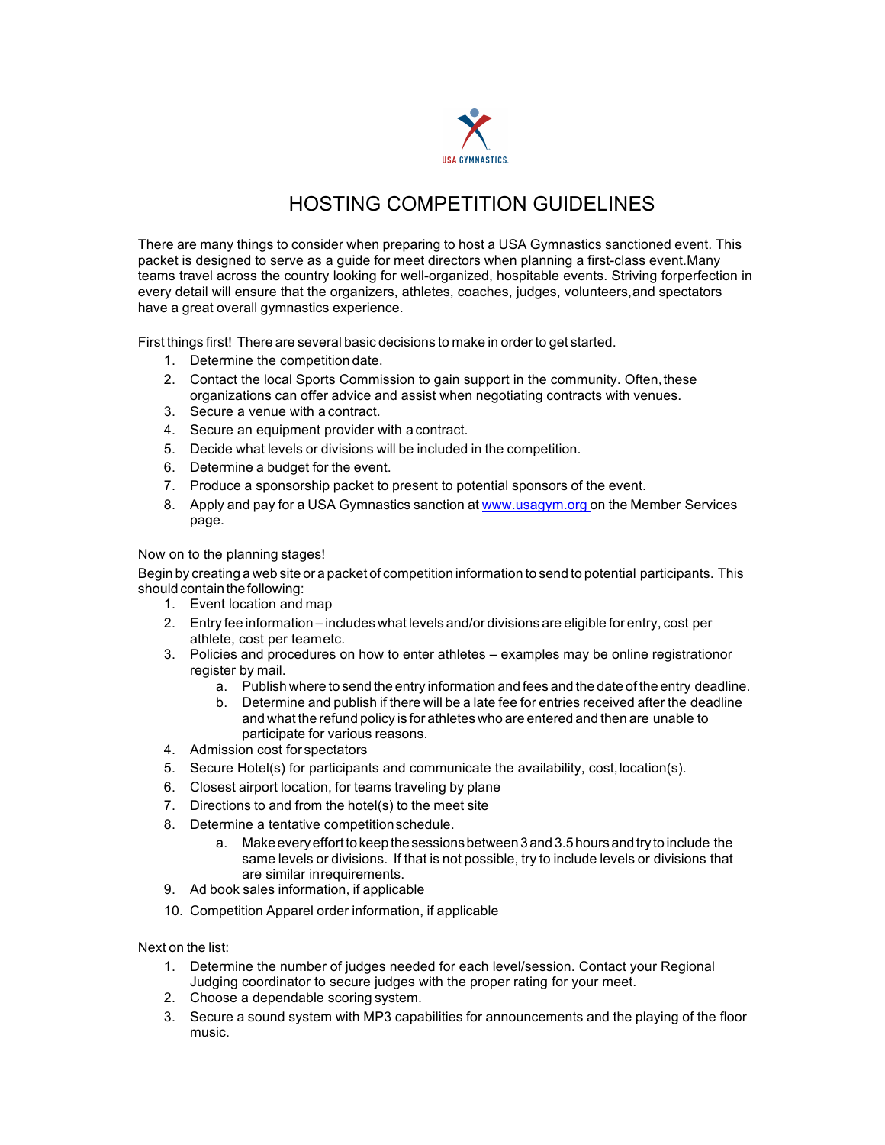

## HOSTING COMPETITION GUIDELINES

There are many things to consider when preparing to host a USA Gymnastics sanctioned event. This packet is designed to serve as a guide for meet directors when planning a first-class event.Many teams travel across the country looking for well-organized, hospitable events. Striving forperfection in every detail will ensure that the organizers, athletes, coaches, judges, volunteers,and spectators have a great overall gymnastics experience.

First things first! There are several basic decisions to make in order to get started.

- 1. Determine the competition date.
- 2. Contact the local Sports Commission to gain support in the community. Often, these organizations can offer advice and assist when negotiating contracts with venues.
- 3. Secure a venue with a contract.
- 4. Secure an equipment provider with a contract.
- 5. Decide what levels or divisions will be included in the competition.
- 6. Determine a budget for the event.
- 7. Produce a sponsorship packet to present to potential sponsors of the event.
- 8. Apply and pay for a USA Gymnastics sanction at www.usagym.org on the Member Services page.

Now on to the planning stages!

Begin by creating a web site or a packet of competition information to send to potential participants. This should contain the following:

- 1. Event location and map
- 2. Entry fee information includes what levels and/or divisions are eligible for entry, cost per athlete, cost per teametc.
- 3. Policies and procedures on how to enter athletes examples may be online registrationor register by mail.
	- a. Publish where to send the entry information and fees and the date of the entry deadline.
	- b. Determine and publish if there will be a late fee for entries received after the deadline and what the refund policy is for athletes who are entered and then are unable to participate for various reasons.
- 4. Admission cost for spectators
- 5. Secure Hotel(s) for participants and communicate the availability, cost,location(s).
- 6. Closest airport location, for teams traveling by plane
- 7. Directions to and from the hotel(s) to the meet site
- 8. Determine a tentative competitionschedule.
	- a. Make every effortto keep the sessions between 3 and 3.5 hours and try to include the same levels or divisions. If that is not possible, try to include levels or divisions that are similar inrequirements.
- 9. Ad book sales information, if applicable
- 10. Competition Apparel order information, if applicable

Next on the list:

- 1. Determine the number of judges needed for each level/session. Contact your Regional Judging coordinator to secure judges with the proper rating for your meet.
- 2. Choose a dependable scoring system.
- 3. Secure a sound system with MP3 capabilities for announcements and the playing of the floor music.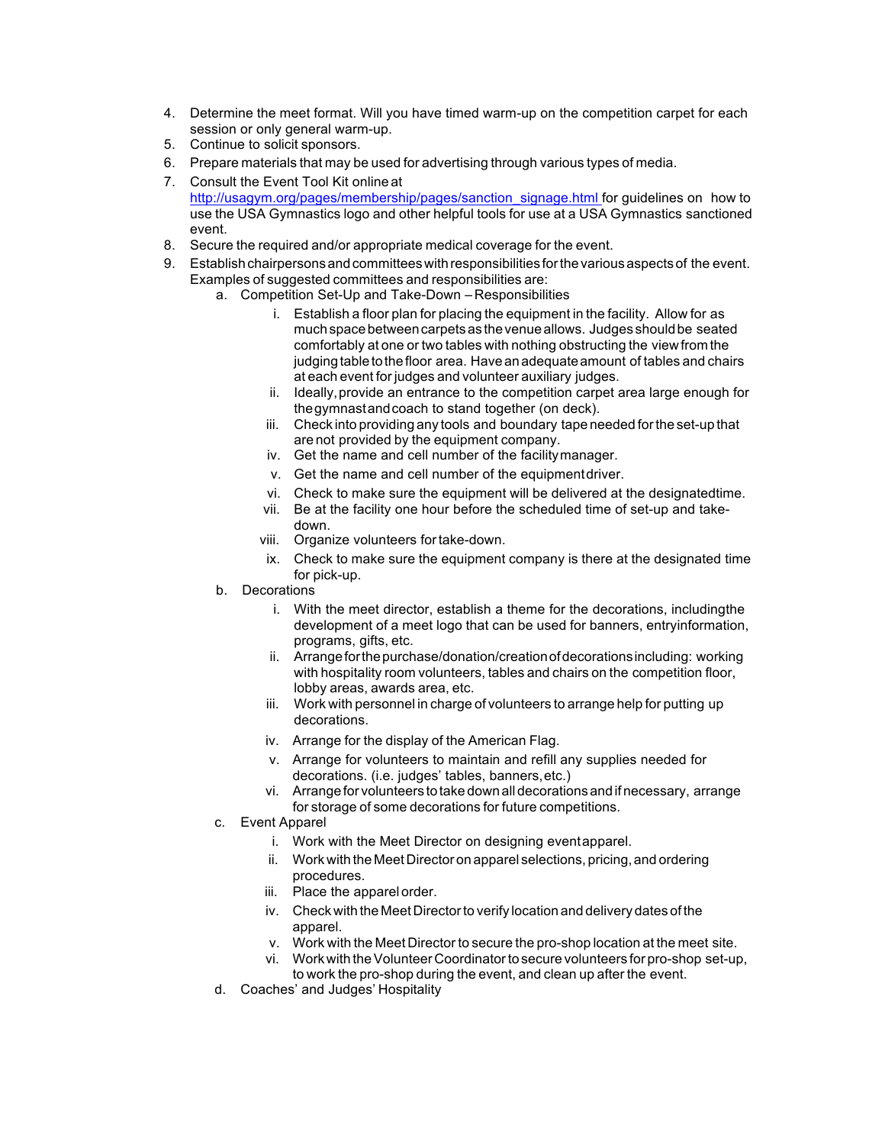- 4. Determine the meet format. Will you have timed warm-up on the competition carpet for each session or only general warm-up.
- 5. Continue to solicit sponsors.
- 6. Prepare materials that may be used for advertising through various types of media.
- 7. Consult the Event Tool Kit online at http://usagym.org/pages/membership/pages/sanction\_signage.html for guidelines on how to use the USA Gymnastics logo and other helpful tools for use at a USA Gymnastics sanctioned event.
- 8. Secure the required and/or appropriate medical coverage for the event.
- 9. Establish chairpersons and committees with responsibilities for the various aspects of the event. Examples of suggested committees and responsibilities are:
	- a. Competition Set-Up and Take-Down Responsibilities
		- i. Establish a floor plan for placing the equipment in the facility. Allow for as much space between carpets as the venue allows. Judges should be seated comfortably at one or two tables with nothing obstructing the viewfrom the judging table to the floor area. Have an adequate amount of tables and chairs at each event for judges and volunteer auxiliary judges.
		- ii. Ideally,provide an entrance to the competition carpet area large enough for thegymnastandcoach to stand together (on deck).
		- iii. Check into providing any tools and boundary tape needed forthe set-up that are not provided by the equipment company.
		- iv. Get the name and cell number of the facilitymanager.
		- v. Get the name and cell number of the equipmentdriver.
		- vi. Check to make sure the equipment will be delivered at the designatedtime.
		- vii. Be at the facility one hour before the scheduled time of set-up and takedown.
		- viii. Organize volunteers fortake-down.
		- ix. Check to make sure the equipment company is there at the designated time for pick-up.
	- b. Decorations
		- i. With the meet director, establish a theme for the decorations, includingthe development of a meet logo that can be used for banners, entryinformation, programs, gifts, etc.
		- ii. Arrangeforthepurchase/donation/creationofdecorationsincluding: working with hospitality room volunteers, tables and chairs on the competition floor, lobby areas, awards area, etc.
		- iii. Work with personnel in charge of volunteers to arrange help for putting up decorations.
		- iv. Arrange for the display of the American Flag.
		- v. Arrange for volunteers to maintain and refill any supplies needed for decorations. (i.e. judges' tables, banners,etc.)
		- vi. Arrange for volunteers to take down alldecorations and ifnecessary, arrange for storage of some decorations for future competitions.
	- c. Event Apparel
		- i. Work with the Meet Director on designing eventapparel.
		- ii. Work with the Meet Director on apparel selections, pricing, and ordering procedures.
		- iii. Place the apparel order.
		- iv. Check with the Meet Directorto verify location and delivery dates of the apparel.
		- v. Work with the Meet Director to secure the pro-shop location at the meet site.
		- vi. Work with theVolunteer Coordinatorto secure volunteers for pro-shop set-up, to work the pro-shop during the event, and clean up after the event.
	- d. Coaches' and Judges' Hospitality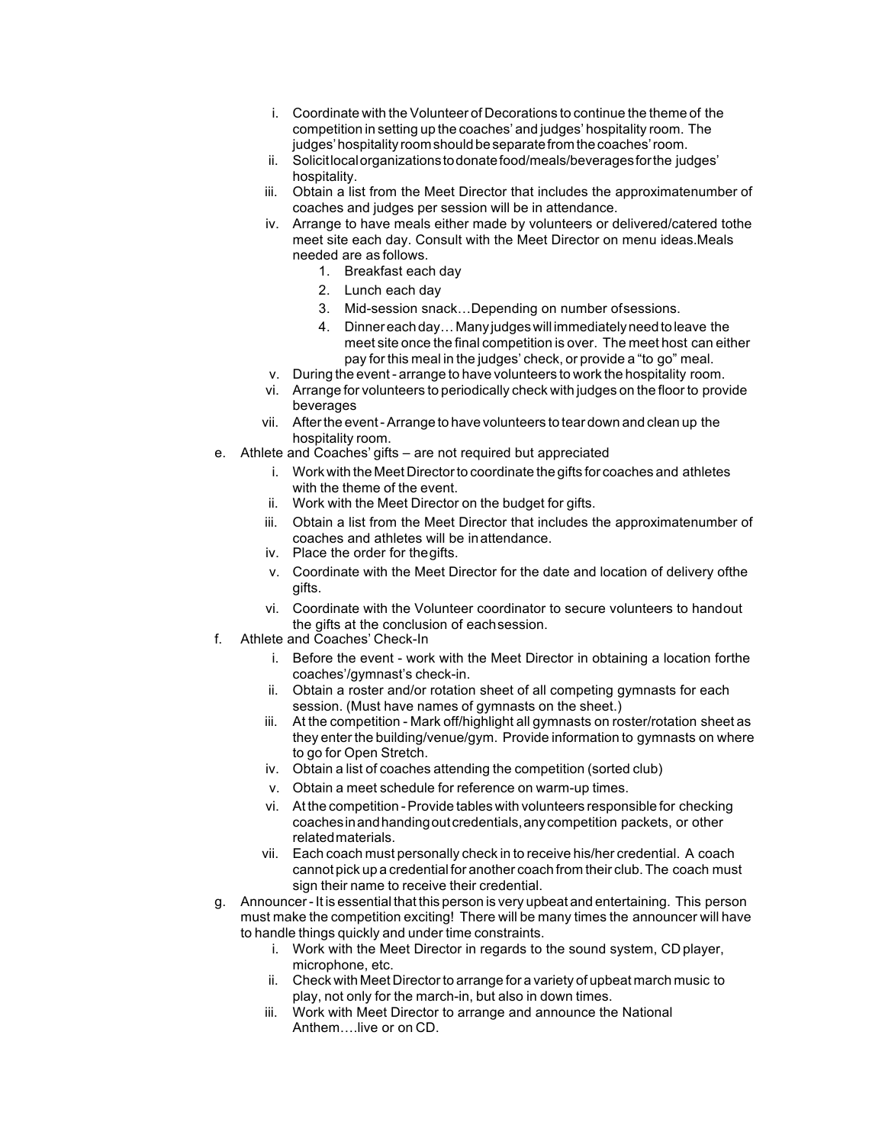- i. Coordinate with the Volunteer of Decorations to continue the theme of the competition in setting up the coaches' and judges' hospitality room. The judges' hospitality room should be separate from the coaches' room.
- ii. Solicitlocalorganizationstodonatefood/meals/beveragesforthe judges' hospitality.
- iii. Obtain a list from the Meet Director that includes the approximatenumber of coaches and judges per session will be in attendance.
- iv. Arrange to have meals either made by volunteers or delivered/catered tothe meet site each day. Consult with the Meet Director on menu ideas.Meals needed are as follows.
	- 1. Breakfast each day
	- 2. Lunch each day
	- 3. Mid-session snack…Depending on number ofsessions.
	- 4. Dinnereachday…Many judgeswill immediatelyneedtoleave the meet site once the final competition is over. The meet host can either pay for this meal in the judges' check, or provide a "to go" meal.
- v. During the event- arrange to have volunteers to work the hospitality room.
- vi. Arrange for volunteers to periodically check with judges on the floor to provide beverages
- vii. Afterthe event-Arrange to have volunteers to tear down and clean up the hospitality room.
- e. Athlete and Coaches' gifts are not required but appreciated
	- i. Work with the Meet Director to coordinate the gifts for coaches and athletes with the theme of the event.
	- ii. Work with the Meet Director on the budget for gifts.
	- iii. Obtain a list from the Meet Director that includes the approximatenumber of coaches and athletes will be inattendance.
	- iv. Place the order for thegifts.
	- v. Coordinate with the Meet Director for the date and location of delivery ofthe gifts.
	- vi. Coordinate with the Volunteer coordinator to secure volunteers to handout the gifts at the conclusion of eachsession.
- f. Athlete and Coaches' Check-In
	- i. Before the event work with the Meet Director in obtaining a location forthe coaches'/gymnast's check-in.
	- ii. Obtain a roster and/or rotation sheet of all competing gymnasts for each session. (Must have names of gymnasts on the sheet.)
	- iii. At the competition Mark off/highlight all gymnasts on roster/rotation sheet as they enter the building/venue/gym. Provide information to gymnasts on where to go for Open Stretch.
	- iv. Obtain a list of coaches attending the competition (sorted club)
	- v. Obtain a meet schedule for reference on warm-up times.
	- vi. At the competition -Provide tables with volunteers responsible for checking coachesinandhandingoutcredentials,anycompetition packets, or other relatedmaterials.
	- vii. Each coach must personally check in to receive his/her credential. A coach cannot pick up a credential for another coach from their club.The coach must sign their name to receive their credential.
- g. Announcer-It is essential that this person is very upbeat and entertaining. This person must make the competition exciting! There will be many times the announcer will have to handle things quickly and under time constraints.
	- i. Work with the Meet Director in regards to the sound system, CD player, microphone, etc.
	- ii. Check with Meet Directorto arrange for a variety of upbeat march music to play, not only for the march-in, but also in down times.
	- iii. Work with Meet Director to arrange and announce the National Anthem….live or on CD.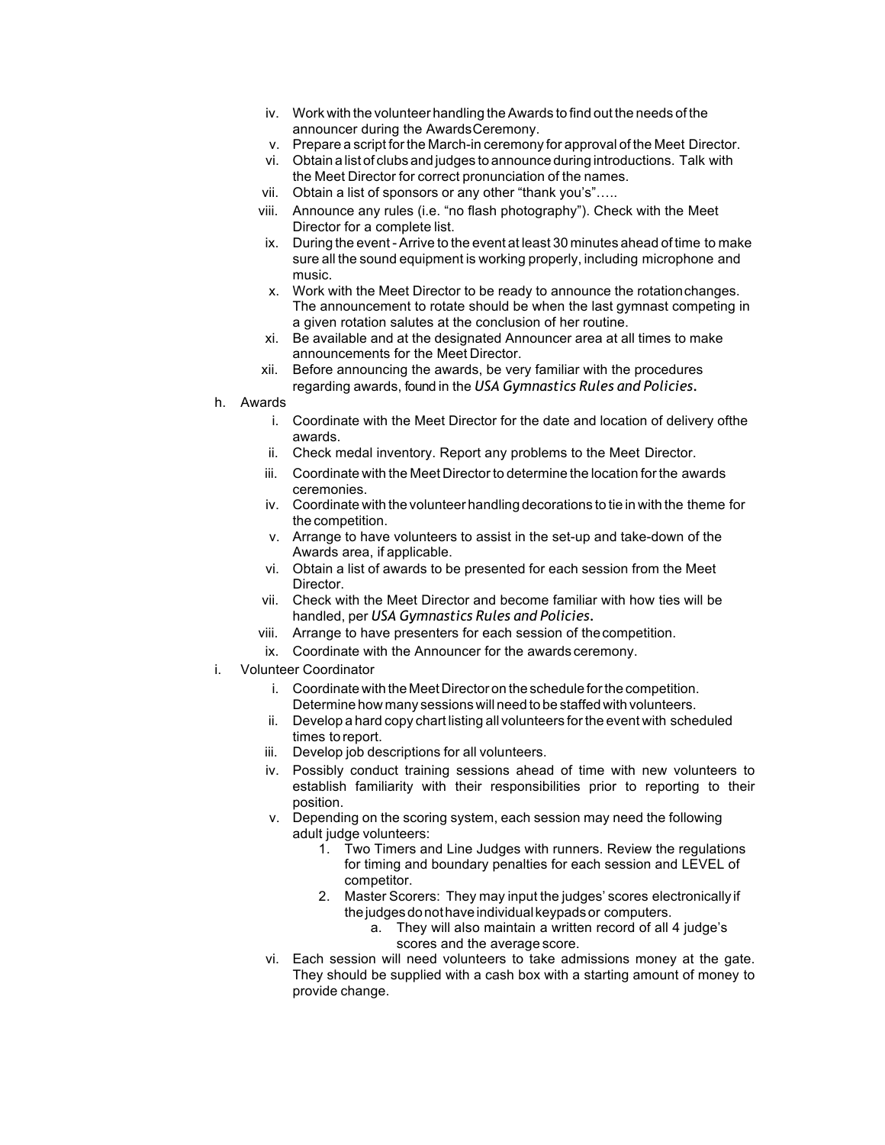- iv. Work with the volunteer handling theAwards to find out the needs of the announcer during the AwardsCeremony.
- v. Prepare a script for the March-in ceremony for approval of the Meet Director.
- vi. Obtain a list of clubs and judges to announce during introductions. Talk with the Meet Director for correct pronunciation of the names.
- vii. Obtain a list of sponsors or any other "thank you's"…..
- viii. Announce any rules (i.e. "no flash photography"). Check with the Meet Director for a complete list.
- ix. During the event Arrive to the event at least 30 minutes ahead of time to make sure all the sound equipment is working properly, including microphone and music.
- x. Work with the Meet Director to be ready to announce the rotationchanges. The announcement to rotate should be when the last gymnast competing in a given rotation salutes at the conclusion of her routine.
- xi. Be available and at the designated Announcer area at all times to make announcements for the Meet Director.
- xii. Before announcing the awards, be very familiar with the procedures regarding awards, found in the *USA Gymnastics Rules and Policies.*
- h. Awards
	- i. Coordinate with the Meet Director for the date and location of delivery ofthe awards.
	- ii. Check medal inventory. Report any problems to the Meet Director.
	- iii. Coordinate with the Meet Director to determine the location for the awards ceremonies.
	- iv. Coordinate with the volunteer handling decorations to tie in with the theme for the competition.
	- v. Arrange to have volunteers to assist in the set-up and take-down of the Awards area, if applicable.
	- vi. Obtain a list of awards to be presented for each session from the Meet Director.
	- vii. Check with the Meet Director and become familiar with how ties will be handled, per *USA Gymnastics Rules and Policies.*
	- viii. Arrange to have presenters for each session of thecompetition.
	- ix. Coordinate with the Announcer for the awards ceremony.
- i. Volunteer Coordinator
	- i. Coordinate with the Meet Director on the schedule forthe competition. Determine how many sessions will need to be staffed with volunteers.
	- ii. Develop a hard copy chart listing all volunteers forthe event with scheduled times to report.
	- iii. Develop job descriptions for all volunteers.
	- iv. Possibly conduct training sessions ahead of time with new volunteers to establish familiarity with their responsibilities prior to reporting to their position.
	- v. Depending on the scoring system, each session may need the following adult judge volunteers:
		- 1. Two Timers and Line Judges with runners. Review the regulations for timing and boundary penalties for each session and LEVEL of competitor.
		- 2. Master Scorers: They may input the judges' scores electronically if thejudgesdonothaveindividualkeypadsor computers.
			- a. They will also maintain a written record of all 4 judge's scores and the average score.
	- vi. Each session will need volunteers to take admissions money at the gate. They should be supplied with a cash box with a starting amount of money to provide change.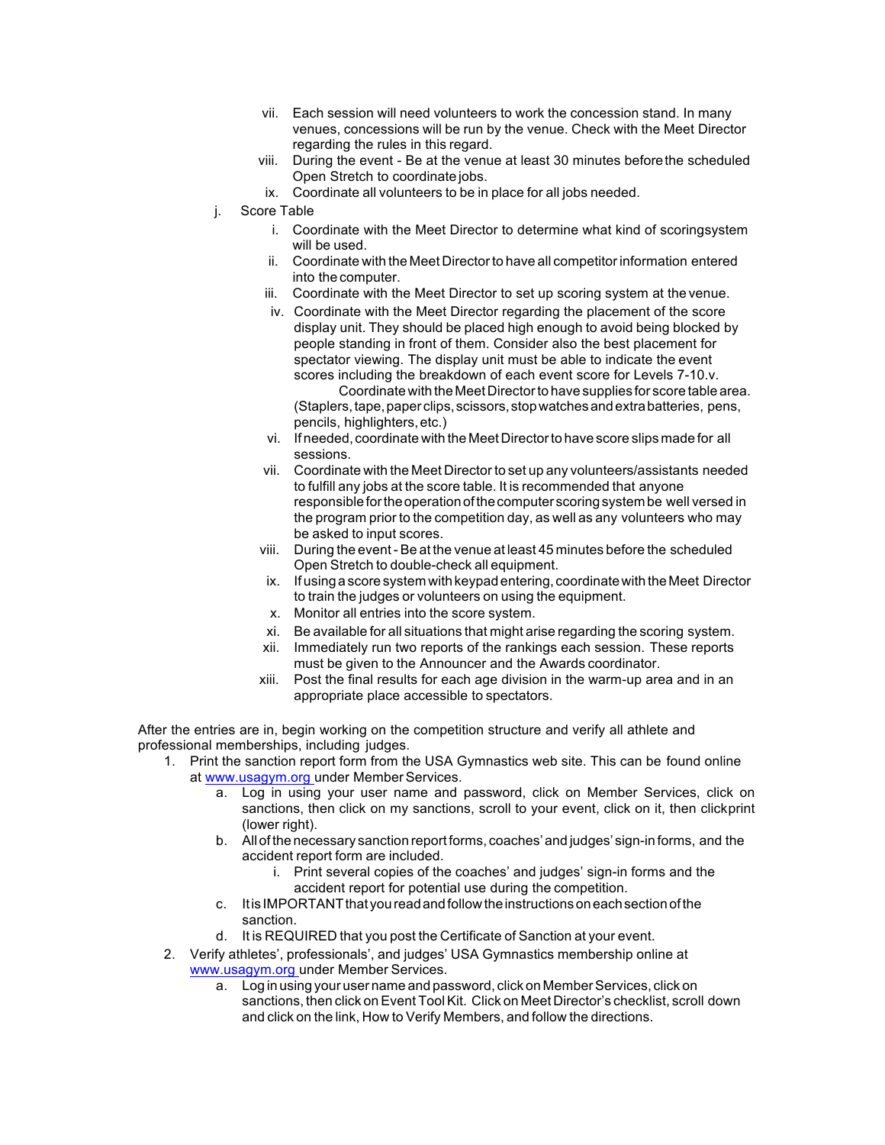- vii. Each session will need volunteers to work the concession stand. In many venues, concessions will be run by the venue. Check with the Meet Director regarding the rules in this regard.
- viii. During the event Be at the venue at least 30 minutes beforethe scheduled Open Stretch to coordinate jobs.
- ix. Coordinate all volunteers to be in place for all jobs needed.
- j. Score Table
	- i. Coordinate with the Meet Director to determine what kind of scoringsystem will be used.
	- ii. Coordinate with the Meet Director to have all competitor information entered into the computer.
	- iii. Coordinate with the Meet Director to set up scoring system at the venue.
	- iv. Coordinate with the Meet Director regarding the placement of the score display unit. They should be placed high enough to avoid being blocked by people standing in front of them. Consider also the best placement for spectator viewing. The display unit must be able to indicate the event scores including the breakdown of each event score for Levels 7-10.v.

Coordinate with the Meet Director to have supplies for score table area. (Staplers, tape, paper clips, scissors, stop watches and extra batteries, pens, pencils, highlighters,etc.)

- vi. If needed, coordinate with the Meet Directorto have score slips made for all sessions.
- vii. Coordinate with the Meet Director to set up any volunteers/assistants needed to fulfill any jobs at the score table. It is recommended that anyone responsible for the operation of the computer scoring system be well versed in the program prior to the competition day, as well as any volunteers who may be asked to input scores.
- viii. During the event-Be at the venue at least 45 minutes before the scheduled Open Stretch to double-check all equipment.
- ix. Ifusing a score system with keypad entering, coordinatewith the Meet Director to train the judges or volunteers on using the equipment.
- x. Monitor all entries into the score system.
- xi. Be available for all situations that might arise regarding the scoring system.
- xii. Immediately run two reports of the rankings each session. These reports must be given to the Announcer and the Awards coordinator.
- xiii. Post the final results for each age division in the warm-up area and in an appropriate place accessible to spectators.

After the entries are in, begin working on the competition structure and verify all athlete and professional memberships, including judges.

- 1. Print the sanction report form from the USA Gymnastics web site. This can be found online at www.usagym.org under Member Services.
	- a. Log in using your user name and password, click on Member Services, click on sanctions, then click on my sanctions, scroll to your event, click on it, then clickprint (lower right).
	- b. All of the necessary sanction report forms, coaches' and judges' sign-in forms, and the accident report form are included.
		- i. Print several copies of the coaches' and judges' sign-in forms and the accident report for potential use during the competition.
	- c. It is IMPORTANT that you read and follow the instructions on each section of the sanction.
	- d. It is REQUIRED that you post the Certificate of Sanction at your event.
- 2. Verify athletes', professionals', and judges' USA Gymnastics membership online at www.usagym.org under Member Services.
	- a. Log in using your user name and password, click on MemberServices, click on sanctions, then click on Event Tool Kit. Click on Meet Director's checklist, scroll down and click on the link, How to Verify Members, and follow the directions.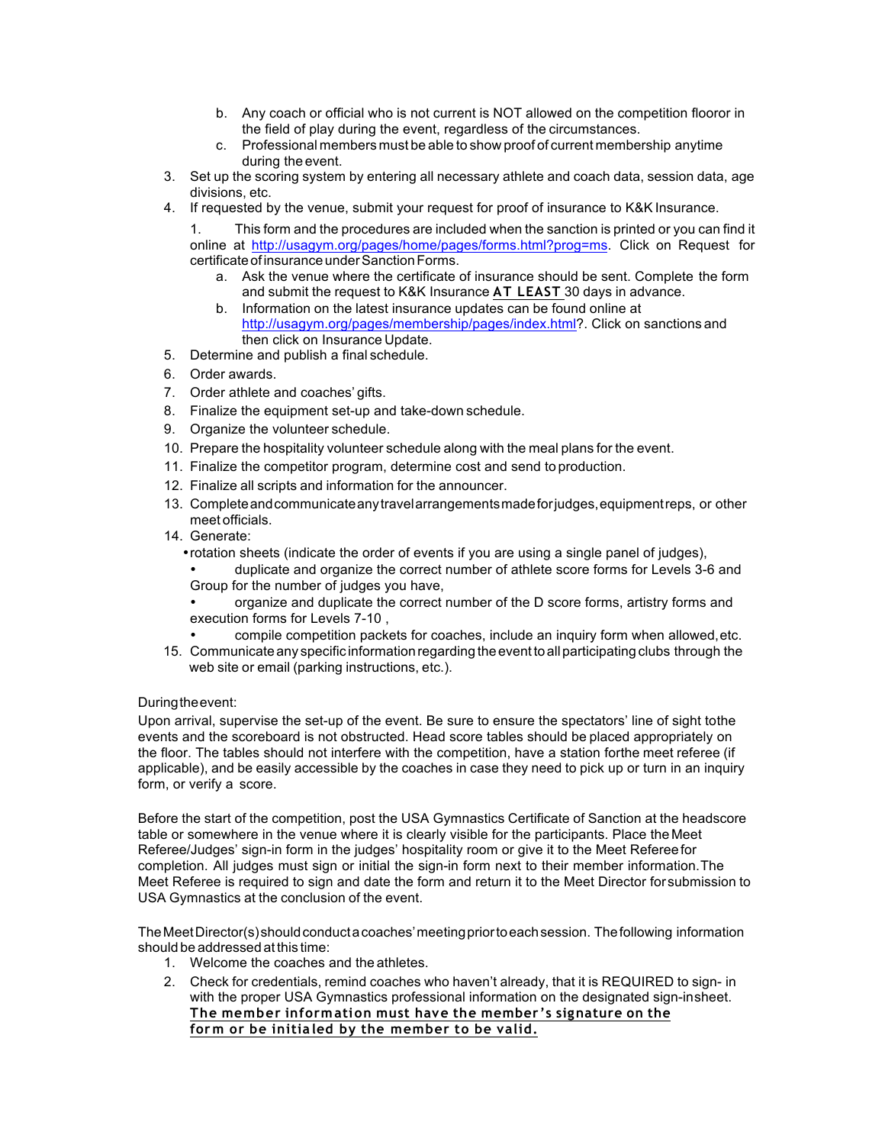- b. Any coach or official who is not current is NOT allowed on the competition flooror in the field of play during the event, regardless of the circumstances.
- c. Professional members must be able to show proof of current membership anytime during the event.
- 3. Set up the scoring system by entering all necessary athlete and coach data, session data, age divisions, etc.
- 4. If requested by the venue, submit your request for proof of insurance to K&K Insurance.

This form and the procedures are included when the sanction is printed or you can find it online at http://usagym.org/pages/home/pages/forms.html?prog=ms. Click on Request for certificate of insurance under Sanction Forms.

- a. Ask the venue where the certificate of insurance should be sent. Complete the form and submit the request to K&K Insurance **AT LEAST** 30 days in advance.
- b. Information on the latest insurance updates can be found online at http://usagym.org/pages/membership/pages/index.html?. Click on sanctions and then click on Insurance Update.
- 5. Determine and publish a final schedule.
- 6. Order awards.
- 7. Order athlete and coaches' gifts.
- 8. Finalize the equipment set-up and take-down schedule.
- 9. Organize the volunteer schedule.
- 10. Prepare the hospitality volunteer schedule along with the meal plans for the event.
- 11. Finalize the competitor program, determine cost and send to production.
- 12. Finalize all scripts and information for the announcer.
- 13. Completeandcommunicateanytravelarrangementsmadeforjudges,equipmentreps, or other meet officials.
- 14. Generate:
	- •rotation sheets (indicate the order of events if you are using a single panel of judges),
	- duplicate and organize the correct number of athlete score forms for Levels 3-6 and Group for the number of judges you have,
	- organize and duplicate the correct number of the D score forms, artistry forms and execution forms for Levels 7-10 ,
	- compile competition packets for coaches, include an inquiry form when allowed,etc.
- 15. Communicate any specific information regarding the eventto allparticipating clubs through the web site or email (parking instructions, etc.).

## Duringtheevent:

Upon arrival, supervise the set-up of the event. Be sure to ensure the spectators' line of sight tothe events and the scoreboard is not obstructed. Head score tables should be placed appropriately on the floor. The tables should not interfere with the competition, have a station forthe meet referee (if applicable), and be easily accessible by the coaches in case they need to pick up or turn in an inquiry form, or verify a score.

Before the start of the competition, post the USA Gymnastics Certificate of Sanction at the headscore table or somewhere in the venue where it is clearly visible for the participants. Place theMeet Referee/Judges' sign-in form in the judges' hospitality room or give it to the Meet Refereefor completion. All judges must sign or initial the sign-in form next to their member information.The Meet Referee is required to sign and date the form and return it to the Meet Director forsubmission to USA Gymnastics at the conclusion of the event.

The Meet Director(s) should conducta coaches' meeting prior to each session. The following information should be addressed at this time:

- 1. Welcome the coaches and the athletes.
- 2. Check for credentials, remind coaches who haven't already, that it is REQUIRED to sign- in with the proper USA Gymnastics professional information on the designated sign-insheet. **The member inform ation must have the member 's signature on the for m or be initia led by the member to be valid.**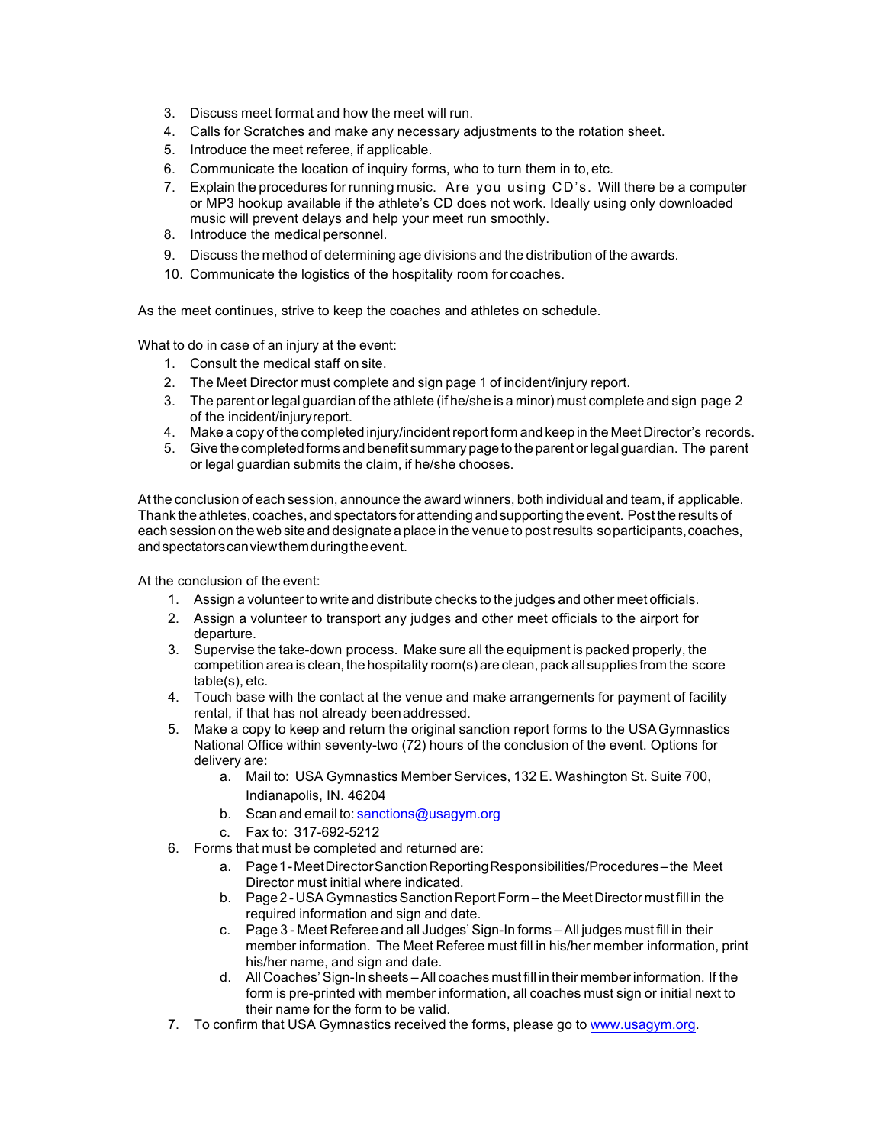- 3. Discuss meet format and how the meet will run.
- 4. Calls for Scratches and make any necessary adjustments to the rotation sheet.
- 5. Introduce the meet referee, if applicable.
- 6. Communicate the location of inquiry forms, who to turn them in to,etc.
- 7. Explain the procedures for running music. Are you using CD's. Will there be a computer or MP3 hookup available if the athlete's CD does not work. Ideally using only downloaded music will prevent delays and help your meet run smoothly.
- 8. Introduce the medical personnel.
- 9. Discuss the method of determining age divisions and the distribution of the awards.
- 10. Communicate the logistics of the hospitality room for coaches.

As the meet continues, strive to keep the coaches and athletes on schedule.

What to do in case of an injury at the event:

- 1. Consult the medical staff on site.
- 2. The Meet Director must complete and sign page 1 of incident/injury report.
- 3. The parent or legal guardian of the athlete (if he/she is a minor) must complete and sign page 2 of the incident/injuryreport.
- 4. Make a copy of the completed injury/incidentreport form and keep in the Meet Director's records.
- 5. Give the completed forms and benefit summary page to the parent orlegalguardian. The parent or legal guardian submits the claim, if he/she chooses.

At the conclusion of each session, announce the award winners, both individual and team, if applicable. Thank the athletes, coaches, and spectators for attending and supporting the event. Post the results of each session on the web site and designate a place in the venue to postresults soparticipants,coaches, andspectatorscanviewthemduringtheevent.

At the conclusion of the event:

- 1. Assign a volunteer to write and distribute checks to the judges and other meet officials.
- 2. Assign a volunteer to transport any judges and other meet officials to the airport for departure.
- 3. Supervise the take-down process. Make sure all the equipment is packed properly, the competition area is clean, the hospitality room(s) are clean, pack all supplies from the score table(s), etc.
- 4. Touch base with the contact at the venue and make arrangements for payment of facility rental, if that has not already beenaddressed.
- 5. Make a copy to keep and return the original sanction report forms to the USAGymnastics National Office within seventy-two (72) hours of the conclusion of the event. Options for delivery are:
	- a. Mail to: USA Gymnastics Member Services, 132 E. Washington St. Suite 700, Indianapolis, IN. 46204
	- b. Scan and email to: sanctions@usagym.org
	- c. Fax to: 317-692-5212
- 6. Forms that must be completed and returned are:
	- a. Page1-MeetDirectorSanctionReportingResponsibilities/Procedures–the Meet Director must initial where indicated.
	- b. Page 2 -USAGymnasticsSanction ReportForm the MeetDirector must fill in the required information and sign and date.
	- c. Page 3 Meet Referee and all Judges' Sign-In forms All judges must fill in their member information. The Meet Referee must fill in his/her member information, print his/her name, and sign and date.
	- d. All Coaches'Sign-In sheets All coaches must fill in their member information. If the form is pre-printed with member information, all coaches must sign or initial next to their name for the form to be valid.
- 7. To confirm that USA Gymnastics received the forms, please go to www.usagym.org.